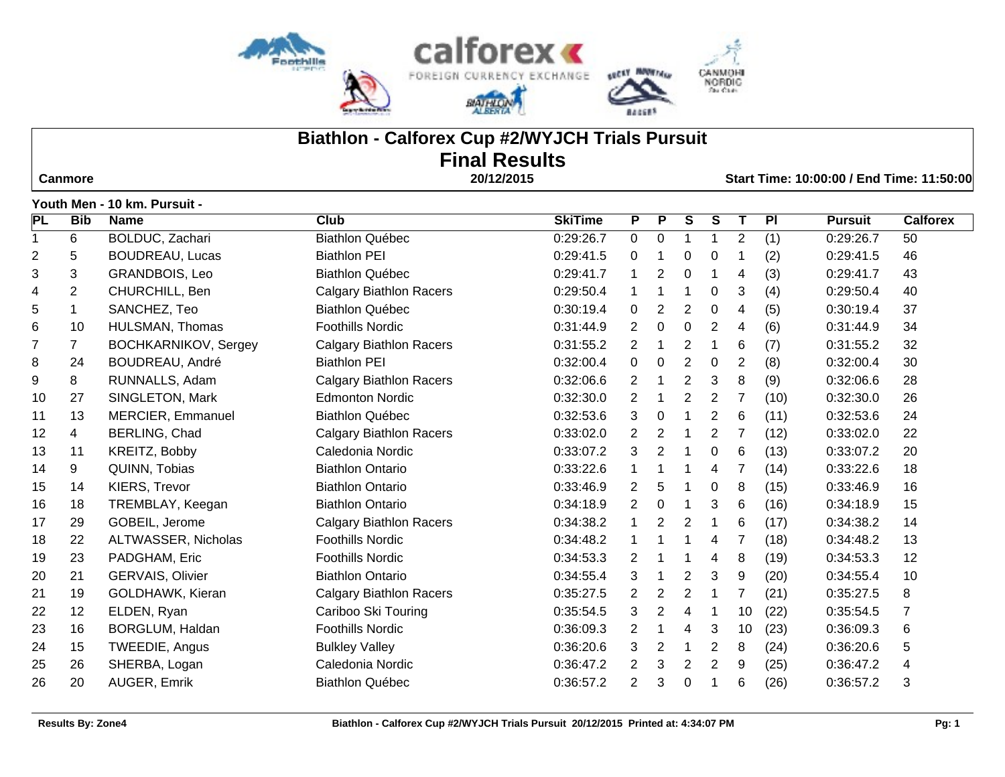

# **Biathlon - Calforex Cup #2/WYJCH Trials Pursuit Final Results**

 **Canmore 20/12/2015 Start Time: 10:00:00 / End Time: 11:50:00**

|                         |                | <u>1 JULII MEILE IV KIII. LUI SUILE</u> |                                |                |                |                  |                |                |                |      |                |                 |
|-------------------------|----------------|-----------------------------------------|--------------------------------|----------------|----------------|------------------|----------------|----------------|----------------|------|----------------|-----------------|
| PL                      | <b>Bib</b>     | <b>Name</b>                             | <b>Club</b>                    | <b>SkiTime</b> | P              | P                | S              | $\overline{s}$ | Τ              | PI   | <b>Pursuit</b> | <b>Calforex</b> |
| $\mathbf{1}$            | 6              | BOLDUC, Zachari                         | <b>Biathlon Québec</b>         | 0:29:26.7      | $\mathbf 0$    | $\boldsymbol{0}$ | $\mathbf{1}$   | $\overline{1}$ | 2              | (1)  | 0:29:26.7      | 50              |
| $\overline{\mathbf{c}}$ | 5              | <b>BOUDREAU, Lucas</b>                  | <b>Biathlon PEI</b>            | 0:29:41.5      | 0              |                  | 0              | 0              |                | (2)  | 0:29:41.5      | 46              |
| 3                       | 3              | <b>GRANDBOIS, Leo</b>                   | <b>Biathlon Québec</b>         | 0:29:41.7      | 1              | $\overline{2}$   | 0              | -1             | 4              | (3)  | 0:29:41.7      | 43              |
| 4                       | $\overline{2}$ | CHURCHILL, Ben                          | <b>Calgary Biathlon Racers</b> | 0:29:50.4      | $\mathbf{1}$   |                  | $\mathbf 1$    | 0              | 3              | (4)  | 0:29:50.4      | 40              |
| 5                       | 1              | SANCHEZ, Teo                            | <b>Biathlon Québec</b>         | 0:30:19.4      | $\mathbf 0$    | $\overline{2}$   | $\overline{2}$ | 0              | 4              | (5)  | 0:30:19.4      | 37              |
| 6                       | 10             | HULSMAN, Thomas                         | <b>Foothills Nordic</b>        | 0:31:44.9      | $\overline{2}$ | $\pmb{0}$        | $\mathbf 0$    | $\overline{2}$ | 4              | (6)  | 0:31:44.9      | 34              |
| $\overline{7}$          | $\overline{7}$ | <b>BOCHKARNIKOV, Sergey</b>             | <b>Calgary Biathlon Racers</b> | 0:31:55.2      | $\overline{2}$ |                  | $\overline{2}$ | -1             | 6              | (7)  | 0:31:55.2      | 32              |
| 8                       | 24             | BOUDREAU, André                         | <b>Biathlon PEI</b>            | 0:32:00.4      | $\mathbf 0$    | 0                | $\overline{2}$ | 0              | 2              | (8)  | 0:32:00.4      | 30              |
| 9                       | 8              | RUNNALLS, Adam                          | <b>Calgary Biathlon Racers</b> | 0:32:06.6      | $\overline{2}$ |                  | $\overline{2}$ | 3              | 8              | (9)  | 0:32:06.6      | 28              |
| 10                      | 27             | SINGLETON, Mark                         | <b>Edmonton Nordic</b>         | 0:32:30.0      | $\overline{2}$ |                  | $\overline{c}$ | $\overline{2}$ | $\overline{7}$ | (10) | 0:32:30.0      | 26              |
| 11                      | 13             | <b>MERCIER, Emmanuel</b>                | <b>Biathlon Québec</b>         | 0:32:53.6      | 3              | 0                | 1              | $\overline{2}$ | 6              | (11) | 0:32:53.6      | 24              |
| 12                      | $\overline{4}$ | BERLING, Chad                           | <b>Calgary Biathlon Racers</b> | 0:33:02.0      | $\mathbf{2}$   | 2                | $\mathbf 1$    | $\overline{2}$ |                | (12) | 0:33:02.0      | 22              |
| 13                      | 11             | KREITZ, Bobby                           | Caledonia Nordic               | 0:33:07.2      | 3              | $\overline{2}$   | 1              | $\mathbf 0$    | 6              | (13) | 0:33:07.2      | 20              |
| 14                      | 9              | QUINN, Tobias                           | <b>Biathlon Ontario</b>        | 0:33:22.6      | $\mathbf 1$    |                  | 1              | 4              | 7              | (14) | 0:33:22.6      | 18              |
| 15                      | 14             | KIERS, Trevor                           | <b>Biathlon Ontario</b>        | 0:33:46.9      | $\overline{2}$ | 5                | 1              | 0              | 8              | (15) | 0:33:46.9      | 16              |
| 16                      | 18             | TREMBLAY, Keegan                        | <b>Biathlon Ontario</b>        | 0:34:18.9      | $\overline{2}$ | 0                |                | 3              | 6              | (16) | 0:34:18.9      | 15              |
| 17                      | 29             | GOBEIL, Jerome                          | <b>Calgary Biathlon Racers</b> | 0:34:38.2      | $\mathbf{1}$   | 2                | 2              | -1             | 6              | (17) | 0:34:38.2      | 14              |
| 18                      | 22             | ALTWASSER, Nicholas                     | <b>Foothills Nordic</b>        | 0:34:48.2      | 1              |                  |                | 4              | 7              | (18) | 0:34:48.2      | 13              |
| 19                      | 23             | PADGHAM, Eric                           | <b>Foothills Nordic</b>        | 0:34:53.3      | $\overline{2}$ |                  | 1              | 4              | 8              | (19) | 0:34:53.3      | 12              |
| 20                      | 21             | <b>GERVAIS, Olivier</b>                 | <b>Biathlon Ontario</b>        | 0:34:55.4      | 3              |                  | $\overline{2}$ | 3              | 9              | (20) | 0:34:55.4      | 10              |
| 21                      | 19             | GOLDHAWK, Kieran                        | <b>Calgary Biathlon Racers</b> | 0:35:27.5      | $\overline{2}$ | $\overline{c}$   | $\overline{2}$ | -1             | $\overline{7}$ | (21) | 0:35:27.5      | 8               |
| 22                      | 12             | ELDEN, Ryan                             | Cariboo Ski Touring            | 0:35:54.5      | 3              | $\overline{2}$   | 4              |                | 10             | (22) | 0:35:54.5      | 7               |
| 23                      | 16             | BORGLUM, Haldan                         | <b>Foothills Nordic</b>        | 0:36:09.3      | $\overline{2}$ |                  | 4              | 3              | 10             | (23) | 0:36:09.3      | 6               |
| 24                      | 15             | TWEEDIE, Angus                          | <b>Bulkley Valley</b>          | 0:36:20.6      | 3              | $\overline{2}$   | 1              | $\overline{2}$ | 8              | (24) | 0:36:20.6      | 5               |
| 25                      | 26             | SHERBA, Logan                           | Caledonia Nordic               | 0:36:47.2      | $\overline{2}$ | 3                | $\overline{2}$ | $\overline{2}$ | 9              | (25) | 0:36:47.2      | 4               |
| 26                      | 20             | AUGER, Emrik                            | <b>Biathlon Québec</b>         | 0:36:57.2      | $\overline{2}$ | 3                | 0              | -1             | 6              | (26) | 0:36:57.2      | 3               |
|                         |                |                                         |                                |                |                |                  |                |                |                |      |                |                 |

**Youth Men - 10 km. Pursuit -**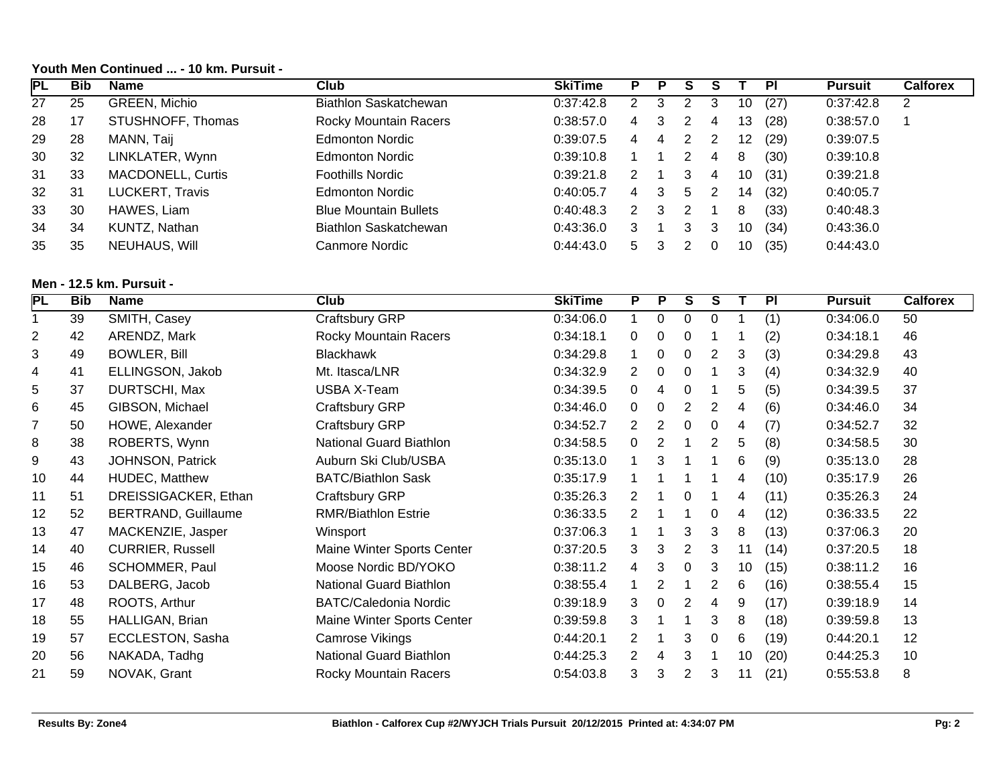# **Youth Men Continued ... - 10 km. Pursuit -**

| <b>PL</b> | <b>Bib</b> | <b>Name</b>              | Club                         | <b>SkiTime</b> |    |   |   |   |    | <b>PI</b> | <b>Pursuit</b> | <b>Calforex</b> |
|-----------|------------|--------------------------|------------------------------|----------------|----|---|---|---|----|-----------|----------------|-----------------|
| 27        | 25         | GREEN, Michio            | <b>Biathlon Saskatchewan</b> | 0:37:42.8      | 2  |   |   | 3 | 10 | (27)      | 0:37:42.8      | 2               |
| 28        | 17         | STUSHNOFF, Thomas        | <b>Rocky Mountain Racers</b> | 0:38:57.0      | 4  | 3 |   | 4 | 13 | (28)      | 0:38:57.0      |                 |
| 29        | 28         | MANN, Taij               | <b>Edmonton Nordic</b>       | 0:39:07.5      | 4  | 4 |   |   | 12 | (29)      | 0:39:07.5      |                 |
| 30        | 32         | LINKLATER, Wynn          | <b>Edmonton Nordic</b>       | 0:39:10.8      |    |   |   | 4 | 8  | (30)      | 0:39:10.8      |                 |
| 31        | 33         | <b>MACDONELL, Curtis</b> | <b>Foothills Nordic</b>      | 0:39:21.8      |    |   | 3 | 4 | 10 | (31)      | 0:39:21.8      |                 |
| 32        | 31         | <b>LUCKERT, Travis</b>   | <b>Edmonton Nordic</b>       | 0:40:05.7      | 4  | 3 | 5 |   | 14 | (32)      | 0:40:05.7      |                 |
| 33        | 30         | HAWES, Liam              | <b>Blue Mountain Bullets</b> | 0:40:48.3      |    | 3 |   |   | 8  | (33)      | 0:40:48.3      |                 |
| 34        | 34         | KUNTZ, Nathan            | Biathlon Saskatchewan        | 0:43:36.0      | 3  |   | 3 | 3 | 10 | (34)      | 0:43:36.0      |                 |
| 35        | 35         | NEUHAUS, Will            | Canmore Nordic               | 0:44:43.0      | 5. |   |   |   | 10 | (35)      | 0:44:43.0      |                 |

## **Men - 12.5 km. Pursuit -**

| PL             | <b>Bib</b> | <b>Name</b>                | Club                         | <b>SkiTime</b> | P              | P | S              | S |    | PI   | <b>Pursuit</b> | <b>Calforex</b> |
|----------------|------------|----------------------------|------------------------------|----------------|----------------|---|----------------|---|----|------|----------------|-----------------|
|                | 39         | SMITH, Casey               | Craftsbury GRP               | 0:34:06.0      |                | 0 | 0              | 0 |    | (1)  | 0:34:06.0      | 50              |
| $\overline{2}$ | 42         | ARENDZ, Mark               | <b>Rocky Mountain Racers</b> | 0:34:18.1      | 0              | 0 | 0              |   |    | (2)  | 0:34:18.1      | 46              |
| 3              | 49         | <b>BOWLER, Bill</b>        | <b>Blackhawk</b>             | 0:34:29.8      |                | 0 | 0              | 2 | 3  | (3)  | 0:34:29.8      | 43              |
| 4              | 41         | ELLINGSON, Jakob           | Mt. Itasca/LNR               | 0:34:32.9      | $\overline{2}$ | 0 | 0              |   | 3  | (4)  | 0:34:32.9      | 40              |
| 5              | 37         | DURTSCHI, Max              | <b>USBA X-Team</b>           | 0:34:39.5      | 0              | 4 | 0              |   | 5  | (5)  | 0:34:39.5      | 37              |
| 6              | 45         | GIBSON, Michael            | Craftsbury GRP               | 0:34:46.0      | 0              | 0 | 2              | 2 | 4  | (6)  | 0:34:46.0      | 34              |
| $\overline{7}$ | 50         | HOWE, Alexander            | Craftsbury GRP               | 0:34:52.7      | $\overline{2}$ | 2 | 0              | 0 | 4  | (7)  | 0:34:52.7      | 32              |
| 8              | 38         | ROBERTS, Wynn              | National Guard Biathlon      | 0:34:58.5      | 0              | 2 |                | 2 | 5  | (8)  | 0:34:58.5      | 30              |
| 9              | 43         | JOHNSON, Patrick           | Auburn Ski Club/USBA         | 0:35:13.0      |                | 3 |                |   | 6  | (9)  | 0:35:13.0      | 28              |
| 10             | 44         | HUDEC, Matthew             | <b>BATC/Biathlon Sask</b>    | 0:35:17.9      |                |   |                |   | 4  | (10) | 0:35:17.9      | 26              |
| 11             | 51         | DREISSIGACKER, Ethan       | Craftsbury GRP               | 0:35:26.3      | $\mathbf{2}$   |   | 0              |   | 4  | (11) | 0:35:26.3      | 24              |
| 12             | 52         | <b>BERTRAND, Guillaume</b> | <b>RMR/Biathlon Estrie</b>   | 0:36:33.5      | $\overline{2}$ |   |                | 0 | 4  | (12) | 0:36:33.5      | 22              |
| 13             | 47         | MACKENZIE, Jasper          | Winsport                     | 0:37:06.3      |                |   | 3              | 3 | 8  | (13) | 0:37:06.3      | 20              |
| 14             | 40         | <b>CURRIER, Russell</b>    | Maine Winter Sports Center   | 0:37:20.5      | 3              | 3 | 2              | 3 | 11 | (14) | 0:37:20.5      | 18              |
| 15             | 46         | SCHOMMER, Paul             | Moose Nordic BD/YOKO         | 0:38:11.2      | 4              | 3 | 0              | 3 | 10 | (15) | 0:38:11.2      | 16              |
| 16             | 53         | DALBERG, Jacob             | National Guard Biathlon      | 0:38:55.4      |                | 2 |                | 2 | 6  | (16) | 0:38:55.4      | 15              |
| 17             | 48         | ROOTS, Arthur              | <b>BATC/Caledonia Nordic</b> | 0:39:18.9      | 3              | 0 | 2              | 4 | 9  | (17) | 0:39:18.9      | 14              |
| 18             | 55         | HALLIGAN, Brian            | Maine Winter Sports Center   | 0:39:59.8      | 3              |   |                | 3 | 8  | (18) | 0:39:59.8      | 13              |
| 19             | 57         | ECCLESTON, Sasha           | Camrose Vikings              | 0:44:20.1      | $\overline{2}$ |   | 3              | 0 | 6  | (19) | 0:44:20.1      | 12              |
| 20             | 56         | NAKADA, Tadhg              | National Guard Biathlon      | 0:44:25.3      | $\overline{2}$ | 4 | 3              |   | 10 | (20) | 0:44:25.3      | 10              |
| 21             | 59         | NOVAK, Grant               | Rocky Mountain Racers        | 0:54:03.8      | 3              | 3 | $\overline{2}$ | 3 | 11 | (21) | 0:55:53.8      | 8               |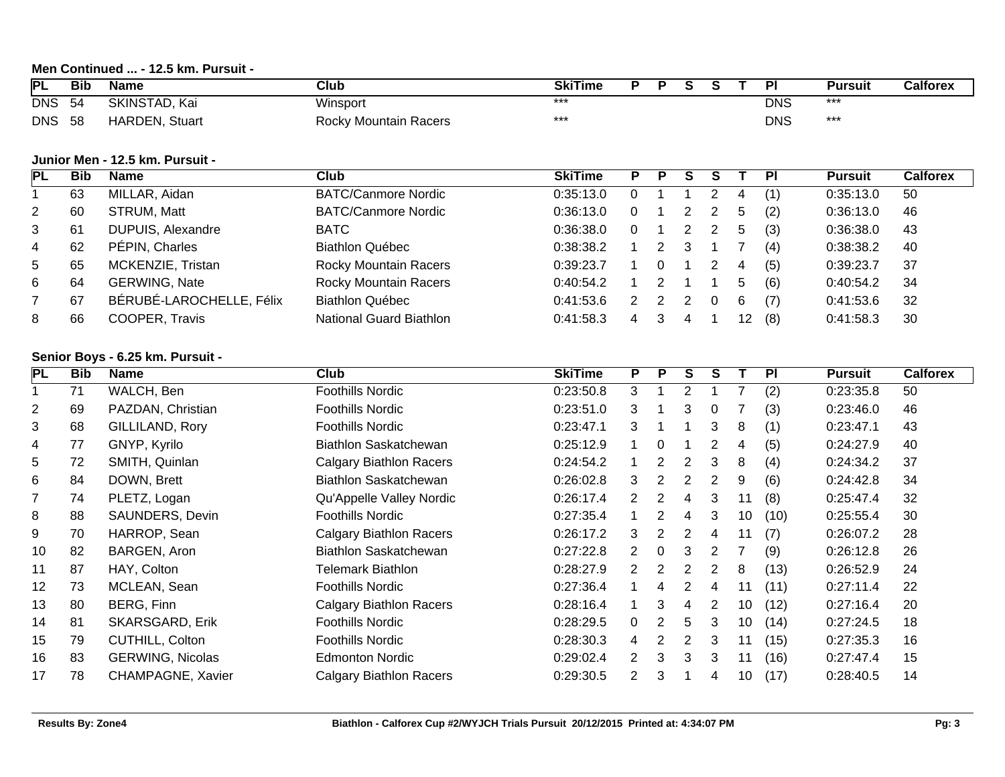# **Men Continued ... - 12.5 km. Pursuit -**

| PL         | <b>Bib</b> | Name              | Club                         | <b>SkiTime</b> |  |  | ÞІ         | Pursuit | Calforex |
|------------|------------|-------------------|------------------------------|----------------|--|--|------------|---------|----------|
| <b>DNS</b> | -54        | Kai<br>SKINSTAD.  | Winsport                     | ***            |  |  | <b>DNS</b> | ***     |          |
| <b>DNS</b> | 58         | HARDEN,<br>Stuart | <b>Rocky Mountain Racers</b> | ***            |  |  | <b>DNS</b> | ***     |          |

#### **Junior Men - 12.5 km. Pursuit -**

| PL              | <b>Bib</b> | <b>Name</b>              | <b>Club</b>                  | <b>SkiTime</b> | Р |                      |  |    | <b>PI</b> | <b>Pursuit</b> | <b>Calforex</b> |
|-----------------|------------|--------------------------|------------------------------|----------------|---|----------------------|--|----|-----------|----------------|-----------------|
|                 | 63         | MILLAR, Aidan            | <b>BATC/Canmore Nordic</b>   | 0:35:13.0      |   |                      |  | 4  |           | 0:35:13.0      | 50              |
| 2               | 60         | STRUM, Matt              | <b>BATC/Canmore Nordic</b>   | 0:36:13.0      |   |                      |  | 5  | (2)       | 0:36:13.0      | 46              |
| 3               | 61         | DUPUIS, Alexandre        | BATC                         | 0:36:38.0      |   |                      |  | 5  | (3)       | 0:36:38.0      | 43              |
| 4               | 62         | PÉPIN, Charles           | <b>Biathlon Québec</b>       | 0:38:38.2      |   |                      |  |    | (4)       | 0:38:38.2      | 40              |
| $5\overline{)}$ | 65         | MCKENZIE, Tristan        | <b>Rocky Mountain Racers</b> | 0:39:23.7      |   |                      |  | 4  | (5)       | 0:39:23.7      | 37              |
| 6               | 64         | <b>GERWING, Nate</b>     | <b>Rocky Mountain Racers</b> | 0:40:54.2      |   |                      |  | 5  | (6)       | 0:40:54.2      | 34              |
|                 | 67         | BÉRUBÉ-LAROCHELLE, Félix | <b>Biathlon Québec</b>       | 0:41:53.6      |   | $\mathbf{2}^{\circ}$ |  | 6  | (7)       | 0:41:53.6      | 32              |
| 8               | 66         | COOPER, Travis           | National Guard Biathlon      | 0:41:58.3      |   |                      |  | 12 | (8)       | 0:41:58.3      | 30              |

#### **Senior Boys - 6.25 km. Pursuit -**

| <b>PL</b> | Bib | <b>Name</b>             | Club                           | <b>SkiTime</b> | P                    | P                     | S | S |                 | <b>PI</b> | <b>Pursuit</b> | <b>Calforex</b> |
|-----------|-----|-------------------------|--------------------------------|----------------|----------------------|-----------------------|---|---|-----------------|-----------|----------------|-----------------|
|           | 71  | WALCH, Ben              | Foothills Nordic               | 0:23:50.8      | 3                    |                       | 2 |   |                 | (2)       | 0:23:35.8      | 50              |
| 2         | 69  | PAZDAN, Christian       | Foothills Nordic               | 0:23:51.0      | 3                    |                       | 3 | 0 |                 | (3)       | 0:23:46.0      | 46              |
| 3         | 68  | GILLILAND, Rory         | Foothills Nordic               | 0:23:47.1      | 3                    |                       |   | 3 | 8               | (1)       | 0:23:47.1      | 43              |
| 4         | 77  | GNYP, Kyrilo            | Biathlon Saskatchewan          | 0:25:12.9      |                      | 0                     |   | 2 | 4               | (5)       | 0:24:27.9      | 40              |
| 5         | 72  | SMITH, Quinlan          | <b>Calgary Biathlon Racers</b> | 0:24:54.2      |                      | 2                     | 2 | 3 | 8               | (4)       | 0:24:34.2      | 37              |
| 6         | 84  | DOWN, Brett             | Biathlon Saskatchewan          | 0:26:02.8      | 3                    | 2                     | 2 | 2 | 9               | (6)       | 0:24:42.8      | 34              |
| 7         | 74  | PLETZ, Logan            | Qu'Appelle Valley Nordic       | 0:26:17.4      | $\mathbf{2}$         | 2                     | 4 | 3 | 11              | (8)       | 0:25:47.4      | 32              |
| 8         | 88  | SAUNDERS, Devin         | Foothills Nordic               | 0:27:35.4      |                      | $\overline{2}$        | 4 | 3 | 10              | (10)      | 0:25:55.4      | 30              |
| 9         | 70  | HARROP, Sean            | <b>Calgary Biathlon Racers</b> | 0:26:17.2      | 3                    | $\mathbf{2}^{\prime}$ | 2 | 4 | 11              | (7)       | 0:26:07.2      | 28              |
| 10        | 82  | BARGEN, Aron            | Biathlon Saskatchewan          | 0:27:22.8      | 2                    | 0                     | 3 | 2 |                 | (9)       | 0:26:12.8      | 26              |
| 11        | 87  | HAY, Colton             | <b>Telemark Biathlon</b>       | 0:28:27.9      | $\mathbf{2}^{\circ}$ | 2                     | 2 | 2 | 8               | (13)      | 0:26:52.9      | 24              |
| 12        | 73  | MCLEAN, Sean            | <b>Foothills Nordic</b>        | 0:27:36.4      |                      | 4                     | 2 | 4 | 11              | (11)      | 0:27:11.4      | 22              |
| 13        | 80  | BERG, Finn              | Calgary Biathlon Racers        | 0:28:16.4      |                      | 3                     | 4 | 2 | 10              | (12)      | 0:27:16.4      | 20              |
| 14        | 81  | <b>SKARSGARD, Erik</b>  | <b>Foothills Nordic</b>        | 0:28:29.5      | $\overline{0}$       | 2                     | 5 | 3 | 10 <sup>°</sup> | (14)      | 0:27:24.5      | 18              |
| 15        | 79  | CUTHILL, Colton         | <b>Foothills Nordic</b>        | 0:28:30.3      | 4                    | 2                     | 2 | 3 | 11              | (15)      | 0:27:35.3      | 16              |
| 16        | 83  | <b>GERWING, Nicolas</b> | <b>Edmonton Nordic</b>         | 0:29:02.4      | $\overline{2}$       | 3                     | 3 | 3 | 11              | (16)      | 0:27:47.4      | 15              |
| 17        | 78  | CHAMPAGNE, Xavier       | Calgary Biathlon Racers        | 0:29:30.5      | 2                    | 3                     |   |   | 10              | (17)      | 0:28:40.5      | 14              |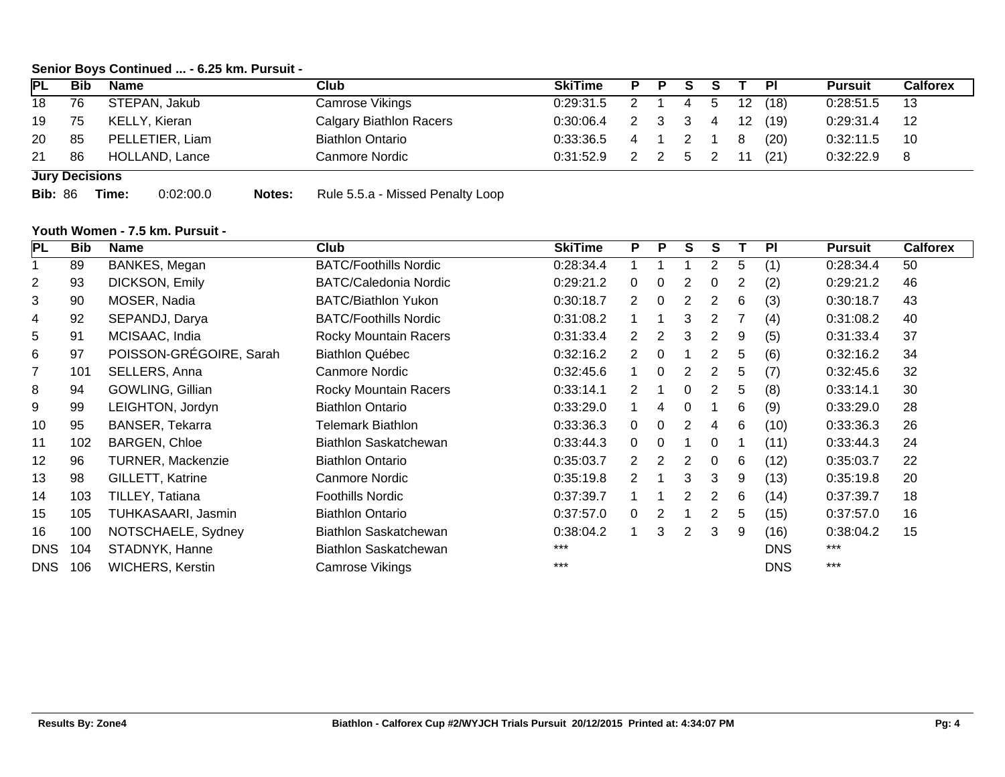#### **Senior Boys Continued ... - 6.25 km. Pursuit -**

| <b>IPL</b> | <b>Bib</b>            | <b>Name</b>     | Club                           | <b>SkiTime</b>      |       |  |  |                |                   |      | <b>Pursuit</b> | Calforex |
|------------|-----------------------|-----------------|--------------------------------|---------------------|-------|--|--|----------------|-------------------|------|----------------|----------|
| 18         | 76                    | STEPAN, Jakub   | <b>Camrose Vikings</b>         | $0:29:31.5$ 2 1 4 5 |       |  |  |                | 12                | (18) | 0:28:51.5      | -13      |
| 19         | 75                    | KELLY, Kieran   | <b>Calgary Biathlon Racers</b> | 0:30:06.4           | 2 3 3 |  |  | $\overline{4}$ | $12 \overline{ }$ | (19) | 0:29:31.4      | -12      |
| 20         | 85                    | PELLETIER, Liam | <b>Biathlon Ontario</b>        | $0:33:36.5$ 4 1 2 1 |       |  |  |                | -8                | (20) | 0:32:11.5      | 10       |
| 21         | 86                    | HOLLAND, Lance  | Canmore Nordic                 | $0:31:52.9$ 2 2 5 2 |       |  |  |                | 11                | (21) | 0:32:22.9      | 8        |
|            | <b>Jury Decisions</b> |                 |                                |                     |       |  |  |                |                   |      |                |          |

**Bib:** 86 **Time:** 0:02:00.0 **Notes:** Rule 5.5.a - Missed Penalty Loop

#### **Youth Women - 7.5 km. Pursuit -**

| <b>PL</b>      | <b>Bib</b> | <b>Name</b>              | Club                         | <b>SkiTime</b> | P                     | P              | S            | S              |   | PI         | <b>Pursuit</b> | <b>Calforex</b> |
|----------------|------------|--------------------------|------------------------------|----------------|-----------------------|----------------|--------------|----------------|---|------------|----------------|-----------------|
|                | 89         | BANKES, Megan            | <b>BATC/Foothills Nordic</b> | 0:28:34.4      |                       |                |              | $\overline{2}$ | 5 | (1)        | 0:28:34.4      | 50              |
| $\overline{2}$ | 93         | DICKSON, Emily           | <b>BATC/Caledonia Nordic</b> | 0:29:21.2      | 0                     | 0              |              |                | 2 | (2)        | 0:29:21.2      | 46              |
| 3              | 90         | MOSER, Nadia             | <b>BATC/Biathlon Yukon</b>   | 0:30:18.7      | $\mathbf{2}^{\prime}$ | 0              | 2            |                | 6 | (3)        | 0:30:18.7      | 43              |
| 4              | 92         | SEPANDJ, Darya           | <b>BATC/Foothills Nordic</b> | 0:31:08.2      |                       |                | 3            |                |   | (4)        | 0:31:08.2      | 40              |
| 5              | 91         | MCISAAC, India           | <b>Rocky Mountain Racers</b> | 0:31:33.4      | $\overline{2}$        | 2              | 3            | 2              | 9 | (5)        | 0:31:33.4      | 37              |
| 6              | 97         | POISSON-GRÉGOIRE, Sarah  | <b>Biathlon Québec</b>       | 0:32:16.2      | $\mathbf{2}^{\circ}$  | 0              |              |                | 5 | (6)        | 0:32:16.2      | 34              |
| $\overline{7}$ | 101        | SELLERS, Anna            | Canmore Nordic               | 0:32:45.6      |                       | $\Omega$       | 2            |                | 5 | (7)        | 0:32:45.6      | 32              |
| 8              | 94         | GOWLING, Gillian         | Rocky Mountain Racers        | 0:33:14.1      | $\overline{2}$        |                | $\mathbf 0$  | 2              | 5 | (8)        | 0:33:14.1      | 30              |
| 9              | 99         | LEIGHTON, Jordyn         | <b>Biathlon Ontario</b>      | 0:33:29.0      |                       | 4              | $\mathbf{0}$ |                | 6 | (9)        | 0:33:29.0      | 28              |
| 10             | 95         | <b>BANSER, Tekarra</b>   | <b>Telemark Biathlon</b>     | 0:33:36.3      | 0                     | 0              | 2            | 4              | 6 | (10)       | 0:33:36.3      | 26              |
| 11             | 102        | <b>BARGEN, Chloe</b>     | Biathlon Saskatchewan        | 0:33:44.3      | 0                     | 0              |              | 0              |   | (11)       | 0:33:44.3      | 24              |
| 12             | 96         | <b>TURNER, Mackenzie</b> | <b>Biathlon Ontario</b>      | 0:35:03.7      | $\mathbf{2}^{\circ}$  | $\overline{2}$ | 2            | 0              | 6 | (12)       | 0:35:03.7      | 22              |
| 13             | 98         | GILLETT, Katrine         | <b>Canmore Nordic</b>        | 0:35:19.8      | $\mathbf{2}^{\circ}$  | 1              | 3            | 3              | 9 | (13)       | 0:35:19.8      | 20              |
| 14             | 103        | TILLEY, Tatiana          | <b>Foothills Nordic</b>      | 0:37:39.7      |                       |                | 2            |                | 6 | (14)       | 0:37:39.7      | 18              |
| 15             | 105        | TUHKASAARI, Jasmin       | <b>Biathlon Ontario</b>      | 0:37:57.0      | 0                     | 2              |              | 2              | 5 | (15)       | 0:37:57.0      | 16              |
| 16             | 100        | NOTSCHAELE, Sydney       | Biathlon Saskatchewan        | 0:38:04.2      |                       | 3              | 2            | 3              | 9 | (16)       | 0:38:04.2      | 15              |
| <b>DNS</b>     | 104        | STADNYK, Hanne           | <b>Biathlon Saskatchewan</b> | ***            |                       |                |              |                |   | <b>DNS</b> | ***            |                 |
| <b>DNS</b>     | 106        | <b>WICHERS, Kerstin</b>  | Camrose Vikings              | $***$          |                       |                |              |                |   | <b>DNS</b> | $***$          |                 |